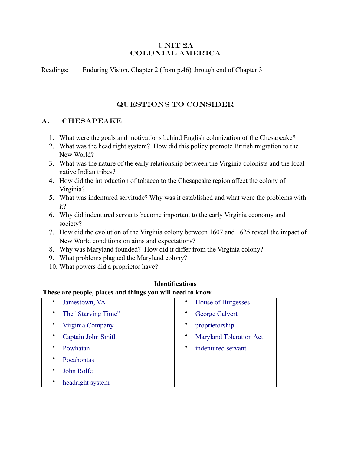#### UNIT 2A Colonial America

Readings: Enduring Vision, Chapter 2 (from p.46) through end of Chapter 3

## Questions to consider

#### A. CHESAPEAKE

- 1. What were the goals and motivations behind English colonization of the Chesapeake?
- 2. What was the head right system? How did this policy promote British migration to the New World?
- 3. What was the nature of the early relationship between the Virginia colonists and the local native Indian tribes?
- 4. How did the introduction of tobacco to the Chesapeake region affect the colony of Virginia?
- 5. What was indentured servitude? Why was it established and what were the problems with it?
- 6. Why did indentured servants become important to the early Virginia economy and society?
- 7. How did the evolution of the Virginia colony between 1607 and 1625 reveal the impact of New World conditions on aims and expectations?
- 8. Why was Maryland founded? How did it differ from the Virginia colony?
- 9. What problems plagued the Maryland colony?
- 10. What powers did a proprietor have?

#### **These are people, places and things you will need to know.**  [Jamestown, VA](http://www.jamestowne.org/history0.htm) [The "Starving Time"](http://www.historywiz.com/exhibits/james-starvingtime.htm) • [Virginia Company](http://www.apva.org/history/vaco.html) • [Captain John Smith](http://www.chesapeakebay.net/info/jsmith.cfm) • [Powhatan](http://www.co.gloucester.va.us/powha1.htm) • [Pocahontas](http://www.apva.org/history/pocahont.html) [John Rolfe](http://www.apva.org/history/jrolfe.html) [headright system](http://www.virginiaplaces.org/settleland/headright.html) • [House of Burgesses](http://www.beyondbooks.com/ush72/2f.asp) George Calvert • [proprietorship](http://dictionary.reference.com/search?r=2&q=proprietorship) • [Maryland Toleration Act](http://odur.let.rug.nl/~usa/D/1601-1650/maryland/mta_i.htm)  [indentured servant](http://en.wikipedia.org/wiki/Indentured_servant)

# **Identifications**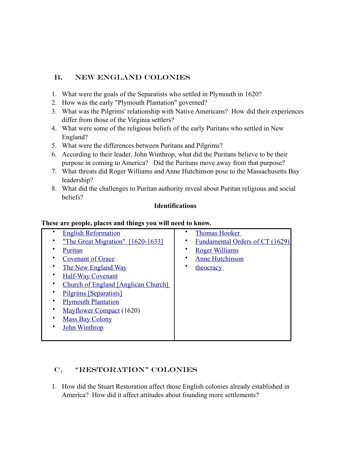# B. New England Colonies

- 1. What were the goals of the Separatists who settled in Plymouth in 1620?
- 2. How was the early "Plymouth Plantation" governed?
- 3. What was the Pilgrims' relationship with Native Americans? How did their experiences differ from those of the Virginia settlers?
- 4. What were some of the religious beliefs of the early Puritans who settled in New England?
- 5. What were the differences between Puritans and Pilgrims?
- 6. According to their leader, John Winthrop, what did the Puritans believe to be their purpose in coming to America? Did the Puritans move away from that purpose?
- 7. What threats did Roger Williams and Anne Hutchinson pose to the Massachusetts Bay leadership?
- 8. What did the challenges to Puritan authority reveal about Puritan religious and social beliefs?

#### **Identifications**

#### **These are people, places and things you will need to know.**

| <b>English Reformation</b>          | <b>Thomas Hooker</b>            |
|-------------------------------------|---------------------------------|
| "The Great Migration" [1620-1633]   | Fundamental Orders of CT (1629) |
| Puritan                             | <b>Roger Williams</b>           |
| <b>Covenant of Grace</b>            | <b>Anne Hutchinson</b>          |
| The New England Way                 | theocracy                       |
| <b>Half-Way Covenant</b>            |                                 |
| Church of England [Anglican Church] |                                 |
| Pilgrims [Separatists]              |                                 |
| <b>Plymouth Plantation</b>          |                                 |
| Mayflower Compact (1620)            |                                 |
| <b>Mass Bay Colony</b>              |                                 |
| <b>John Winthrop</b>                |                                 |
|                                     |                                 |

# C. "Restoration" Colonies

1. How did the Stuart Restoration affect those English colonies already established in America? How did it affect attitudes about founding more settlements?